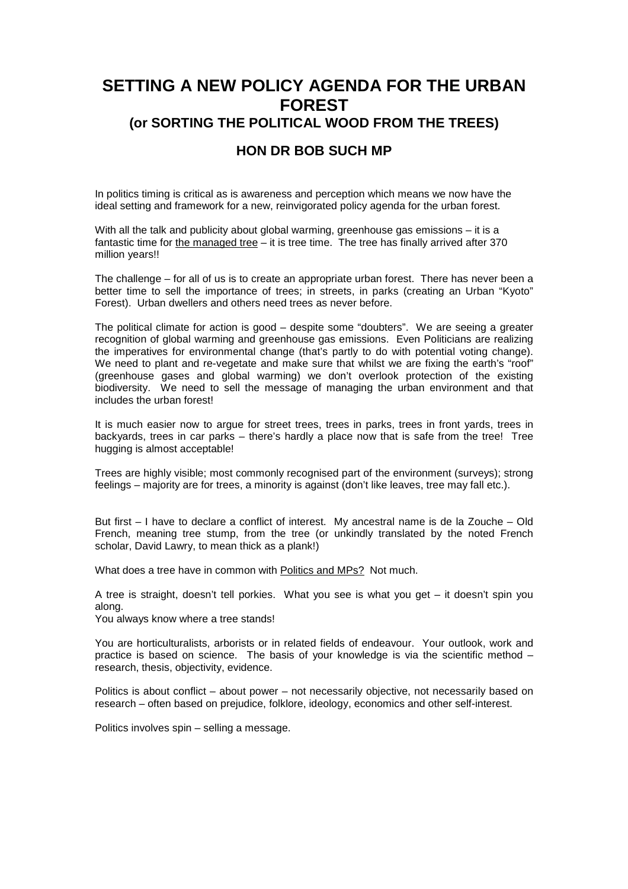## **SETTING A NEW POLICY AGENDA FOR THE URBAN FOREST (or SORTING THE POLITICAL WOOD FROM THE TREES)**

## **HON DR BOB SUCH MP**

In politics timing is critical as is awareness and perception which means we now have the ideal setting and framework for a new, reinvigorated policy agenda for the urban forest.

With all the talk and publicity about global warming, greenhouse gas emissions – it is a fantastic time for the managed tree  $-$  it is tree time. The tree has finally arrived after 370 million years!!

The challenge – for all of us is to create an appropriate urban forest. There has never been a better time to sell the importance of trees; in streets, in parks (creating an Urban "Kyoto" Forest). Urban dwellers and others need trees as never before.

The political climate for action is good – despite some "doubters". We are seeing a greater recognition of global warming and greenhouse gas emissions. Even Politicians are realizing the imperatives for environmental change (that's partly to do with potential voting change). We need to plant and re-vegetate and make sure that whilst we are fixing the earth's "roof" (greenhouse gases and global warming) we don't overlook protection of the existing biodiversity. We need to sell the message of managing the urban environment and that includes the urban forest!

It is much easier now to argue for street trees, trees in parks, trees in front yards, trees in backyards, trees in car parks – there's hardly a place now that is safe from the tree! Tree hugging is almost acceptable!

Trees are highly visible; most commonly recognised part of the environment (surveys); strong feelings – majority are for trees, a minority is against (don't like leaves, tree may fall etc.).

But first – I have to declare a conflict of interest. My ancestral name is de la Zouche – Old French, meaning tree stump, from the tree (or unkindly translated by the noted French scholar, David Lawry, to mean thick as a plank!)

What does a tree have in common with Politics and MPs? Not much.

A tree is straight, doesn't tell porkies. What you see is what you get – it doesn't spin you along.

You always know where a tree stands!

You are horticulturalists, arborists or in related fields of endeavour. Your outlook, work and practice is based on science. The basis of your knowledge is via the scientific method – research, thesis, objectivity, evidence.

Politics is about conflict – about power – not necessarily objective, not necessarily based on research – often based on prejudice, folklore, ideology, economics and other self-interest.

Politics involves spin – selling a message.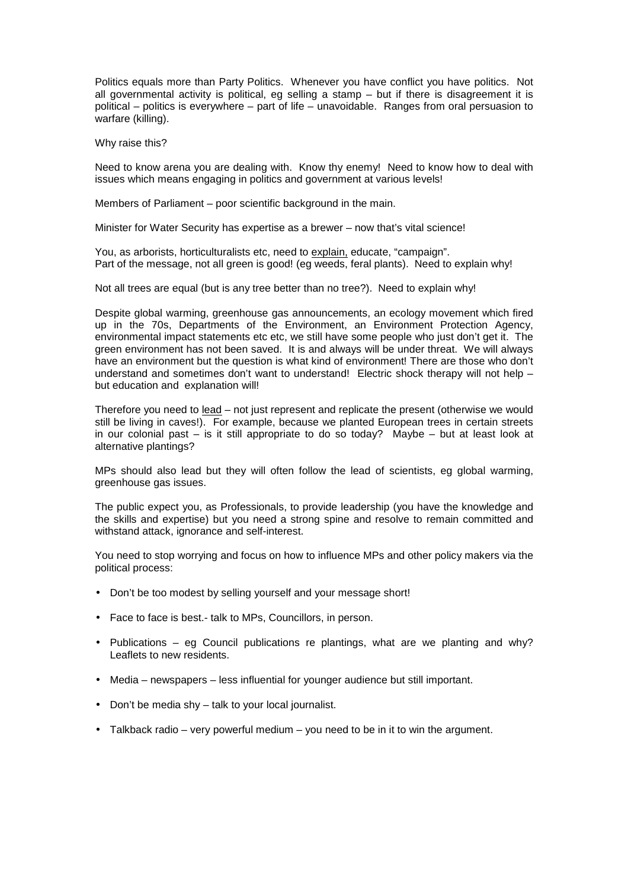Politics equals more than Party Politics. Whenever you have conflict you have politics. Not all governmental activity is political, eg selling a stamp – but if there is disagreement it is political – politics is everywhere – part of life – unavoidable. Ranges from oral persuasion to warfare (killing).

Why raise this?

Need to know arena you are dealing with. Know thy enemy! Need to know how to deal with issues which means engaging in politics and government at various levels!

Members of Parliament – poor scientific background in the main.

Minister for Water Security has expertise as a brewer – now that's vital science!

You, as arborists, horticulturalists etc, need to explain, educate, "campaign". Part of the message, not all green is good! (eg weeds, feral plants). Need to explain why!

Not all trees are equal (but is any tree better than no tree?). Need to explain why!

Despite global warming, greenhouse gas announcements, an ecology movement which fired up in the 70s, Departments of the Environment, an Environment Protection Agency, environmental impact statements etc etc, we still have some people who just don't get it. The green environment has not been saved. It is and always will be under threat. We will always have an environment but the question is what kind of environment! There are those who don't understand and sometimes don't want to understand! Electric shock therapy will not help but education and explanation will!

Therefore you need to lead – not just represent and replicate the present (otherwise we would still be living in caves!). For example, because we planted European trees in certain streets in our colonial past – is it still appropriate to do so today? Maybe – but at least look at alternative plantings?

MPs should also lead but they will often follow the lead of scientists, eg global warming, greenhouse gas issues.

The public expect you, as Professionals, to provide leadership (you have the knowledge and the skills and expertise) but you need a strong spine and resolve to remain committed and withstand attack, ignorance and self-interest.

You need to stop worrying and focus on how to influence MPs and other policy makers via the political process:

- Don't be too modest by selling yourself and your message short!
- Face to face is best.- talk to MPs, Councillors, in person.
- Publications eg Council publications re plantings, what are we planting and why? Leaflets to new residents.
- Media newspapers less influential for younger audience but still important.
- Don't be media shy talk to your local journalist.
- Talkback radio very powerful medium you need to be in it to win the argument.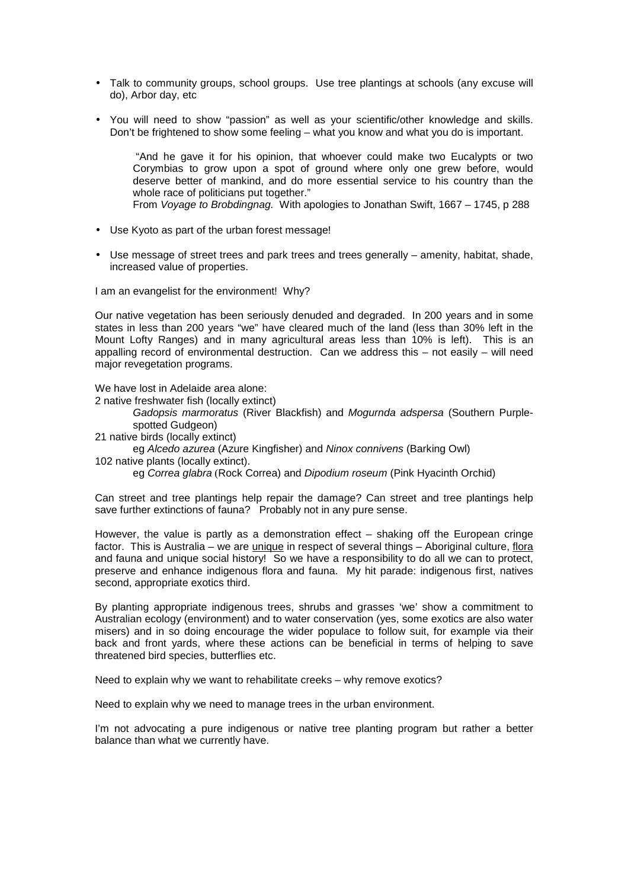- Talk to community groups, school groups. Use tree plantings at schools (any excuse will do), Arbor day, etc
- You will need to show "passion" as well as your scientific/other knowledge and skills. Don't be frightened to show some feeling – what you know and what you do is important.

 "And he gave it for his opinion, that whoever could make two Eucalypts or two Corymbias to grow upon a spot of ground where only one grew before, would deserve better of mankind, and do more essential service to his country than the whole race of politicians put together."

From Voyage to Brobdingnag. With apologies to Jonathan Swift, 1667 – 1745, p 288

- Use Kyoto as part of the urban forest message!
- Use message of street trees and park trees and trees generally amenity, habitat, shade, increased value of properties.

I am an evangelist for the environment! Why?

Our native vegetation has been seriously denuded and degraded. In 200 years and in some states in less than 200 years "we" have cleared much of the land (less than 30% left in the Mount Lofty Ranges) and in many agricultural areas less than 10% is left). This is an appalling record of environmental destruction. Can we address this – not easily – will need major revegetation programs.

We have lost in Adelaide area alone:

- 2 native freshwater fish (locally extinct)
	- Gadopsis marmoratus (River Blackfish) and Mogurnda adspersa (Southern Purplespotted Gudgeon)
- 21 native birds (locally extinct)
- eg Alcedo azurea (Azure Kingfisher) and Ninox connivens (Barking Owl)
- 102 native plants (locally extinct).
	- eg Correa glabra (Rock Correa) and Dipodium roseum (Pink Hyacinth Orchid)

Can street and tree plantings help repair the damage? Can street and tree plantings help save further extinctions of fauna? Probably not in any pure sense.

However, the value is partly as a demonstration effect – shaking off the European cringe factor. This is Australia – we are *unique* in respect of several things – Aboriginal culture, flora and fauna and unique social history! So we have a responsibility to do all we can to protect, preserve and enhance indigenous flora and fauna. My hit parade: indigenous first, natives second, appropriate exotics third.

By planting appropriate indigenous trees, shrubs and grasses 'we' show a commitment to Australian ecology (environment) and to water conservation (yes, some exotics are also water misers) and in so doing encourage the wider populace to follow suit, for example via their back and front yards, where these actions can be beneficial in terms of helping to save threatened bird species, butterflies etc.

Need to explain why we want to rehabilitate creeks – why remove exotics?

Need to explain why we need to manage trees in the urban environment.

I'm not advocating a pure indigenous or native tree planting program but rather a better balance than what we currently have.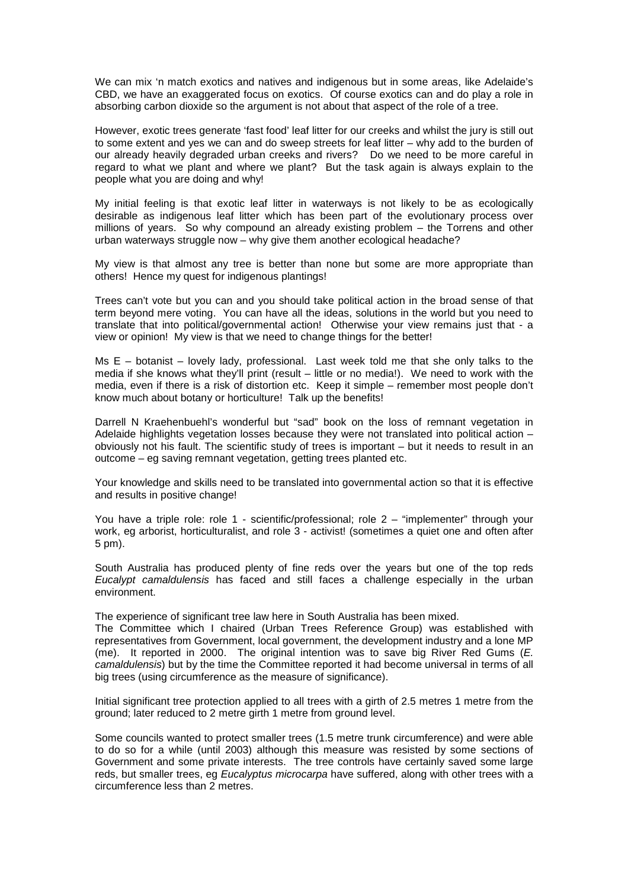We can mix 'n match exotics and natives and indigenous but in some areas, like Adelaide's CBD, we have an exaggerated focus on exotics. Of course exotics can and do play a role in absorbing carbon dioxide so the argument is not about that aspect of the role of a tree.

However, exotic trees generate 'fast food' leaf litter for our creeks and whilst the jury is still out to some extent and yes we can and do sweep streets for leaf litter – why add to the burden of our already heavily degraded urban creeks and rivers? Do we need to be more careful in regard to what we plant and where we plant? But the task again is always explain to the people what you are doing and why!

My initial feeling is that exotic leaf litter in waterways is not likely to be as ecologically desirable as indigenous leaf litter which has been part of the evolutionary process over millions of years. So why compound an already existing problem – the Torrens and other urban waterways struggle now – why give them another ecological headache?

My view is that almost any tree is better than none but some are more appropriate than others! Hence my quest for indigenous plantings!

Trees can't vote but you can and you should take political action in the broad sense of that term beyond mere voting. You can have all the ideas, solutions in the world but you need to translate that into political/governmental action! Otherwise your view remains just that - a view or opinion! My view is that we need to change things for the better!

Ms E – botanist – lovely lady, professional. Last week told me that she only talks to the media if she knows what they'll print (result – little or no media!). We need to work with the media, even if there is a risk of distortion etc. Keep it simple – remember most people don't know much about botany or horticulture! Talk up the benefits!

Darrell N Kraehenbuehl's wonderful but "sad" book on the loss of remnant vegetation in Adelaide highlights vegetation losses because they were not translated into political action – obviously not his fault. The scientific study of trees is important – but it needs to result in an outcome – eg saving remnant vegetation, getting trees planted etc.

Your knowledge and skills need to be translated into governmental action so that it is effective and results in positive change!

You have a triple role: role 1 - scientific/professional; role 2 – "implementer" through your work, eg arborist, horticulturalist, and role 3 - activist! (sometimes a quiet one and often after 5 pm).

South Australia has produced plenty of fine reds over the years but one of the top reds Eucalypt camaldulensis has faced and still faces a challenge especially in the urban environment.

The experience of significant tree law here in South Australia has been mixed.

The Committee which I chaired (Urban Trees Reference Group) was established with representatives from Government, local government, the development industry and a lone MP (me). It reported in 2000. The original intention was to save big River Red Gums (E. camaldulensis) but by the time the Committee reported it had become universal in terms of all big trees (using circumference as the measure of significance).

Initial significant tree protection applied to all trees with a girth of 2.5 metres 1 metre from the ground; later reduced to 2 metre girth 1 metre from ground level.

Some councils wanted to protect smaller trees (1.5 metre trunk circumference) and were able to do so for a while (until 2003) although this measure was resisted by some sections of Government and some private interests. The tree controls have certainly saved some large reds, but smaller trees, eg Eucalyptus microcarpa have suffered, along with other trees with a circumference less than 2 metres.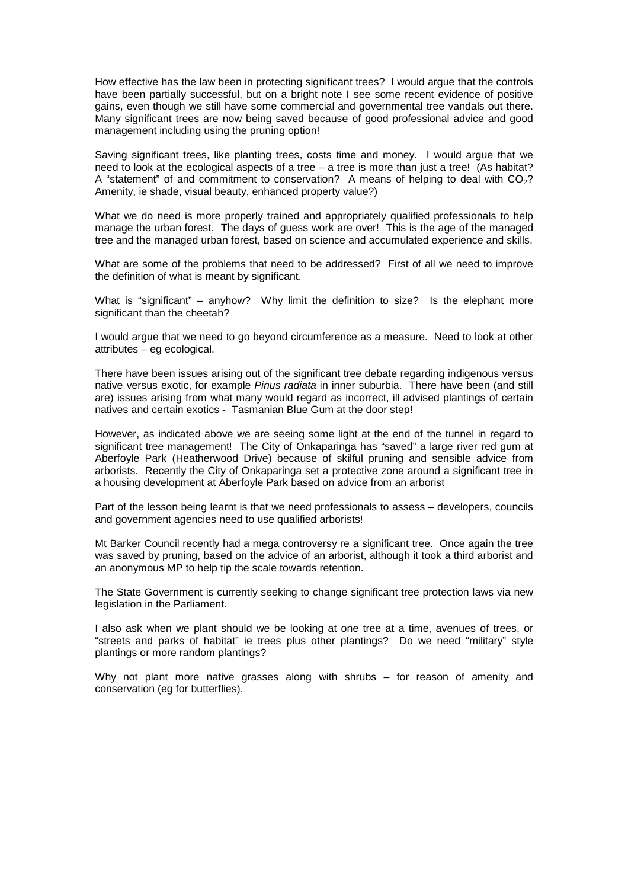How effective has the law been in protecting significant trees? I would argue that the controls have been partially successful, but on a bright note I see some recent evidence of positive gains, even though we still have some commercial and governmental tree vandals out there. Many significant trees are now being saved because of good professional advice and good management including using the pruning option!

Saving significant trees, like planting trees, costs time and money. I would argue that we need to look at the ecological aspects of a tree – a tree is more than just a tree! (As habitat? A "statement" of and commitment to conservation? A means of helping to deal with  $CO<sub>2</sub>$ ? Amenity, ie shade, visual beauty, enhanced property value?)

What we do need is more properly trained and appropriately qualified professionals to help manage the urban forest. The days of guess work are over! This is the age of the managed tree and the managed urban forest, based on science and accumulated experience and skills.

What are some of the problems that need to be addressed? First of all we need to improve the definition of what is meant by significant.

What is "significant" – anyhow? Why limit the definition to size? Is the elephant more significant than the cheetah?

I would argue that we need to go beyond circumference as a measure. Need to look at other attributes – eg ecological.

There have been issues arising out of the significant tree debate regarding indigenous versus native versus exotic, for example Pinus radiata in inner suburbia. There have been (and still are) issues arising from what many would regard as incorrect, ill advised plantings of certain natives and certain exotics - Tasmanian Blue Gum at the door step!

However, as indicated above we are seeing some light at the end of the tunnel in regard to significant tree management! The City of Onkaparinga has "saved" a large river red gum at Aberfoyle Park (Heatherwood Drive) because of skilful pruning and sensible advice from arborists. Recently the City of Onkaparinga set a protective zone around a significant tree in a housing development at Aberfoyle Park based on advice from an arborist

Part of the lesson being learnt is that we need professionals to assess – developers, councils and government agencies need to use qualified arborists!

Mt Barker Council recently had a mega controversy re a significant tree. Once again the tree was saved by pruning, based on the advice of an arborist, although it took a third arborist and an anonymous MP to help tip the scale towards retention.

The State Government is currently seeking to change significant tree protection laws via new legislation in the Parliament.

I also ask when we plant should we be looking at one tree at a time, avenues of trees, or "streets and parks of habitat" ie trees plus other plantings? Do we need "military" style plantings or more random plantings?

Why not plant more native grasses along with shrubs – for reason of amenity and conservation (eg for butterflies).